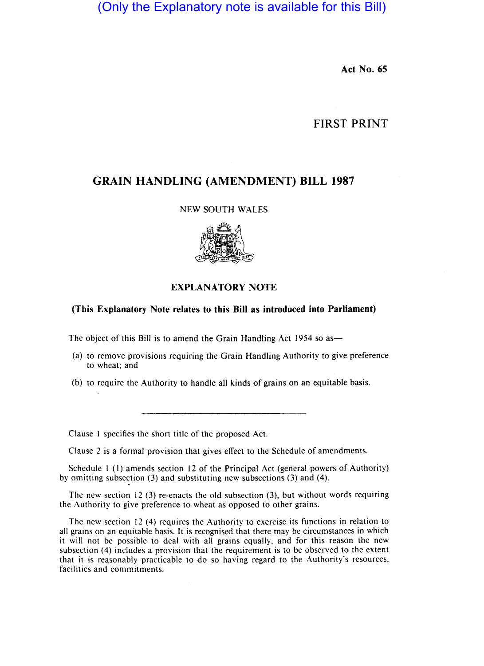(Only the Explanatory note is available for this Bill)

**Act No. 65** 

## **FIRST PRINT**

# **GRAIN HANDLING (AMENDMENT) BILL 1987**

#### NEW SOUTH WALES



### **EXPLANATORY NOTE**

#### **(This Explanatory Note relates to this Bill as introduced into Parliament)**

The object of this Bill is to amend the Grain Handling Act 1954 so as—

- (a) to remove provisions requiring the Grain Handling Authority to give preference to wheat; and
- (b) to require the Authority to handle all kinds of grains on an equitable basis.

Clause I specifies the short title of the proposed Act.

Clause 2 is a formal provision that gives effect to the Schedule of amendments.

Schedule I (I) amends section 12 of the Principal Act (general powers of Authority) by omitting subsection (3) and substituting new subsections (3) and (4).

The new section 12 (3) re-enacts the old subsection (3), but without words requiring the Authority to give preference to wheat as opposed to other grains.

The new section 12 (4) requires the Authority to exercise its functions in relation to all grains on an equitable basis. It is recognised that there may be circumstances in which it will not be possible to deal with all grains equally, and for this reason the new subsection (4) includes a provision that the requirement is to be observed to the extent that it is reasonably practicable to do so having regard to the Authority's resources, facilities and commitments.